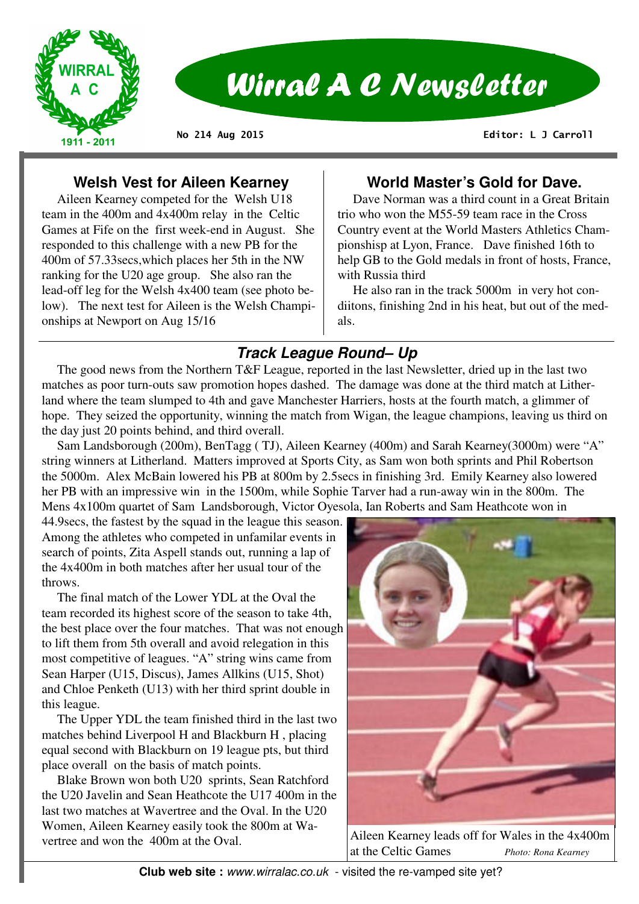

# Wirral A C Newsletter

**No 214 Aug 2015** 

 **Editor: L J Carroll** 

## **Welsh Vest for Aileen Kearney**

 Aileen Kearney competed for the Welsh U18 team in the 400m and 4x400m relay in the Celtic Games at Fife on the first week-end in August. She responded to this challenge with a new PB for the 400m of 57.33secs,which places her 5th in the NW ranking for the U20 age group. She also ran the lead-off leg for the Welsh 4x400 team (see photo below). The next test for Aileen is the Welsh Championships at Newport on Aug 15/16

## **World Master's Gold for Dave.**

 Dave Norman was a third count in a Great Britain trio who won the M55-59 team race in the Cross Country event at the World Masters Athletics Championshisp at Lyon, France. Dave finished 16th to help GB to the Gold medals in front of hosts, France, with Russia third

 He also ran in the track 5000m in very hot condiitons, finishing 2nd in his heat, but out of the medals.

# **Track League Round– Up**

 The good news from the Northern T&F League, reported in the last Newsletter, dried up in the last two matches as poor turn-outs saw promotion hopes dashed. The damage was done at the third match at Litherland where the team slumped to 4th and gave Manchester Harriers, hosts at the fourth match, a glimmer of hope. They seized the opportunity, winning the match from Wigan, the league champions, leaving us third on the day just 20 points behind, and third overall.

 Sam Landsborough (200m), BenTagg ( TJ), Aileen Kearney (400m) and Sarah Kearney(3000m) were "A" string winners at Litherland. Matters improved at Sports City, as Sam won both sprints and Phil Robertson the 5000m. Alex McBain lowered his PB at 800m by 2.5secs in finishing 3rd. Emily Kearney also lowered her PB with an impressive win in the 1500m, while Sophie Tarver had a run-away win in the 800m. The Mens 4x100m quartet of Sam Landsborough, Victor Oyesola, Ian Roberts and Sam Heathcote won in

44.9secs, the fastest by the squad in the league this season. Among the athletes who competed in unfamilar events in search of points, Zita Aspell stands out, running a lap of the 4x400m in both matches after her usual tour of the throws.

 The final match of the Lower YDL at the Oval the team recorded its highest score of the season to take 4th, the best place over the four matches. That was not enough to lift them from 5th overall and avoid relegation in this most competitive of leagues. "A" string wins came from Sean Harper (U15, Discus), James Allkins (U15, Shot) and Chloe Penketh (U13) with her third sprint double in this league.

 The Upper YDL the team finished third in the last two matches behind Liverpool H and Blackburn H , placing equal second with Blackburn on 19 league pts, but third place overall on the basis of match points.

 Blake Brown won both U20 sprints, Sean Ratchford the U20 Javelin and Sean Heathcote the U17 400m in the last two matches at Wavertree and the Oval. In the U20 Women, Aileen Kearney easily took the 800m at Wavertree and won the 400m at the Oval.



Aileen Kearney leads off for Wales in the 4x400m at the Celtic Games *Photo: Rona Kearney*